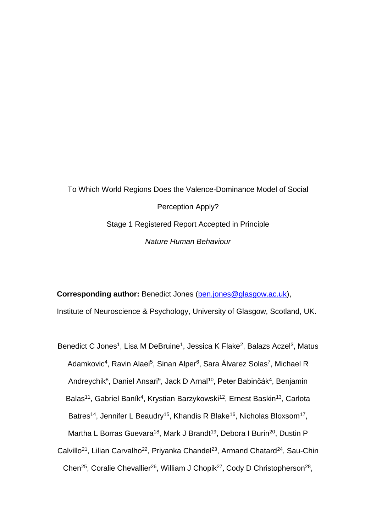To Which World Regions Does the Valence-Dominance Model of Social Perception Apply? Stage 1 Registered Report Accepted in Principle *Nature Human Behaviour*

**Corresponding author:** Benedict Jones [\(ben.jones@glasgow.ac.uk\)](mailto:ben.jones@glasgow.ac.uk),

Institute of Neuroscience & Psychology, University of Glasgow, Scotland, UK.

Benedict C Jones<sup>1</sup>, Lisa M DeBruine<sup>1</sup>, Jessica K Flake<sup>2</sup>, Balazs Aczel<sup>3</sup>, Matus Adamkovic<sup>4</sup>, Ravin Alaei<sup>5</sup>, Sinan Alper<sup>6</sup>, Sara Álvarez Solas<sup>7</sup>, Michael R Andreychik<sup>8</sup>, Daniel Ansari<sup>9</sup>, Jack D Arnal<sup>10</sup>, Peter Babinčák<sup>4</sup>, Benjamin Balas<sup>11</sup>, Gabriel Baník<sup>4</sup>, Krystian Barzykowski<sup>12</sup>, Ernest Baskin<sup>13</sup>, Carlota Batres<sup>14</sup>, Jennifer L Beaudry<sup>15</sup>, Khandis R Blake<sup>16</sup>, Nicholas Bloxsom<sup>17</sup>, Martha L Borras Guevara<sup>18</sup>, Mark J Brandt<sup>19</sup>, Debora I Burin<sup>20</sup>, Dustin P Calvillo<sup>21</sup>, Lilian Carvalho<sup>22</sup>, Priyanka Chandel<sup>23</sup>, Armand Chatard<sup>24</sup>, Sau-Chin Chen<sup>25</sup>, Coralie Chevallier<sup>26</sup>, William J Chopik<sup>27</sup>, Cody D Christopherson<sup>28</sup>,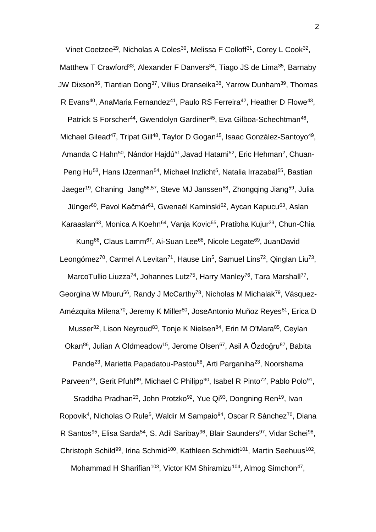Vinet Coetzee<sup>29</sup>, Nicholas A Coles<sup>30</sup>, Melissa F Colloff<sup>31</sup>, Corey L Cook<sup>32</sup>, Matthew T Crawford<sup>33</sup>, Alexander F Danvers<sup>34</sup>, Tiago JS de Lima<sup>35</sup>, Barnaby JW Dixson<sup>36</sup>, Tiantian Dong<sup>37</sup>, Vilius Dranseika<sup>38</sup>, Yarrow Dunham<sup>39</sup>, Thomas R Evans<sup>40</sup>, AnaMaria Fernandez<sup>41</sup>, Paulo RS Ferreira<sup>42</sup>, Heather D Flowe<sup>43</sup>,

Patrick S Forscher<sup>44</sup>, Gwendolyn Gardiner<sup>45</sup>, Eva Gilboa-Schechtman<sup>46</sup>, Michael Gilead<sup>47</sup>, Tripat Gill<sup>48</sup>, Taylor D Gogan<sup>15</sup>, Isaac González-Santoyo<sup>49</sup>, Amanda C Hahn<sup>50</sup>, Nándor Hajdú<sup>51</sup>,Javad Hatami<sup>52</sup>, Eric Hehman<sup>2</sup>, Chuan-Peng Hu<sup>53</sup>, Hans IJzerman<sup>54</sup>, Michael Inzlicht<sup>5</sup>, Natalia Irrazabal<sup>55</sup>, Bastian Jaeger<sup>19</sup>, Chaning Jang<sup>56,57</sup>, Steve MJ Janssen<sup>58</sup>, Zhongqing Jiang<sup>59</sup>, Julia Jünger<sup>60</sup>, Pavol Kačmár<sup>61</sup>, Gwenaël Kaminski<sup>62</sup>, Aycan Kapucu<sup>63</sup>, Aslan

Karaaslan<sup>63</sup>, Monica A Koehn<sup>64</sup>, Vanja Kovic<sup>65</sup>, Pratibha Kujur<sup>23</sup>, Chun-Chia Kung<sup>66</sup>, Claus Lamm<sup>67</sup>, Ai-Suan Lee<sup>68</sup>, Nicole Legate<sup>69</sup>, JuanDavid

Leongómez<sup>70</sup>, Carmel A Levitan<sup>71</sup>, Hause Lin<sup>5</sup>, Samuel Lins<sup>72</sup>, Qinglan Liu<sup>73</sup>,

MarcoTullio Liuzza<sup>74</sup>, Johannes Lutz<sup>75</sup>, Harry Manley<sup>76</sup>, Tara Marshall<sup>77</sup>,

Georgina W Mburu<sup>56</sup>, Randy J McCarthy<sup>78</sup>, Nicholas M Michalak<sup>79</sup>, Vásquez-

Amézquita Milena<sup>70</sup>, Jeremy K Miller<sup>80</sup>, JoseAntonio Muñoz Reyes<sup>81</sup>, Erica D

Musser<sup>82</sup>, Lison Neyroud<sup>83</sup>, Tonje K Nielsen<sup>84</sup>, Erin M O'Mara<sup>85</sup>, Ceylan

Okan<sup>86</sup>, Julian A Oldmeadow<sup>15</sup>, Jerome Olsen<sup>67</sup>, Asil A Özdoğru<sup>87</sup>, Babita

Pande<sup>23</sup>, Marietta Papadatou-Pastou<sup>88</sup>, Arti Parganiha<sup>23</sup>, Noorshama Parveen<sup>23</sup>, Gerit Pfuhl<sup>89</sup>, Michael C Philipp<sup>90</sup>, Isabel R Pinto<sup>72</sup>, Pablo Polo<sup>91</sup>,

Sraddha Pradhan<sup>23</sup>, John Protzko<sup>92</sup>, Yue Qi<sup>93</sup>, Dongning Ren<sup>19</sup>, Ivan Ropovik<sup>4</sup>, Nicholas O Rule<sup>5</sup>, Waldir M Sampaio<sup>94</sup>, Oscar R Sánchez<sup>70</sup>, Diana R Santos<sup>95</sup>, Elisa Sarda<sup>54</sup>, S. Adil Saribay<sup>96</sup>, Blair Saunders<sup>97</sup>, Vidar Schei<sup>98</sup>, Christoph Schild<sup>99</sup>, Irina Schmid<sup>100</sup>, Kathleen Schmidt<sup>101</sup>, Martin Seehuus<sup>102</sup>, Mohammad H Sharifian<sup>103</sup>, Victor KM Shiramizu<sup>104</sup>, Almog Simchon<sup>47</sup>,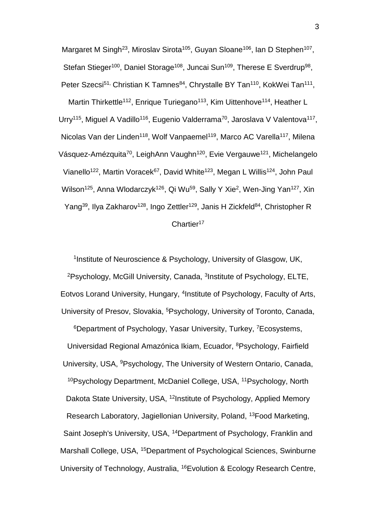Margaret M Singh<sup>23</sup>, Miroslav Sirota<sup>105</sup>, Guyan Sloane<sup>106</sup>, Ian D Stephen<sup>107</sup>, Stefan Stieger<sup>100</sup>, Daniel Storage<sup>108</sup>, Juncai Sun<sup>109</sup>, Therese E Sverdrup<sup>98</sup>, Peter Szecsi<sup>51,</sup> Christian K Tamnes<sup>84</sup>, Chrystalle BY Tan<sup>110</sup>, KokWei Tan<sup>111</sup>, Martin Thirkettle<sup>112</sup>, Enrique Turiegano<sup>113</sup>, Kim Uittenhove<sup>114</sup>, Heather L Urry<sup>115</sup>, Miguel A Vadillo<sup>116</sup>, Eugenio Valderrama<sup>70</sup>, Jaroslava V Valentova<sup>117</sup>, Nicolas Van der Linden<sup>118</sup>, Wolf Vanpaemel<sup>119</sup>, Marco AC Varella<sup>117</sup>, Milena Vásquez-Amézquita<sup>70</sup>, LeighAnn Vaughn<sup>120</sup>, Evie Vergauwe<sup>121</sup>, Michelangelo Vianello<sup>122</sup>, Martin Voracek<sup>67</sup>, David White<sup>123</sup>, Megan L Willis<sup>124</sup>, John Paul Wilson<sup>125</sup>, Anna Wlodarczyk<sup>126</sup>, Qi Wu<sup>59</sup>, Sally Y Xie<sup>2</sup>, Wen-Jing Yan<sup>127</sup>, Xin Yang<sup>39</sup>, Ilya Zakharov<sup>128</sup>, Ingo Zettler<sup>129</sup>, Janis H Zickfeld<sup>84</sup>, Christopher R Chartier<sup>17</sup>

<sup>1</sup>Institute of Neuroscience & Psychology, University of Glasgow, UK, <sup>2</sup>Psychology, McGill University, Canada, <sup>3</sup>Institute of Psychology, ELTE, Eotvos Lorand University, Hungary, <sup>4</sup> Institute of Psychology, Faculty of Arts, University of Presov, Slovakia, <sup>5</sup>Psychology, University of Toronto, Canada, <sup>6</sup>Department of Psychology, Yasar University, Turkey, <sup>7</sup>Ecosystems, Universidad Regional Amazónica Ikiam, Ecuador, <sup>8</sup>Psychology, Fairfield University, USA, <sup>9</sup>Psychology, The University of Western Ontario, Canada, <sup>10</sup>Psychology Department, McDaniel College, USA, <sup>11</sup>Psychology, North Dakota State University, USA, <sup>12</sup>Institute of Psychology, Applied Memory Research Laboratory, Jagiellonian University, Poland, <sup>13</sup>Food Marketing, Saint Joseph's University, USA, <sup>14</sup>Department of Psychology, Franklin and Marshall College, USA, <sup>15</sup>Department of Psychological Sciences, Swinburne University of Technology, Australia, 16Evolution & Ecology Research Centre,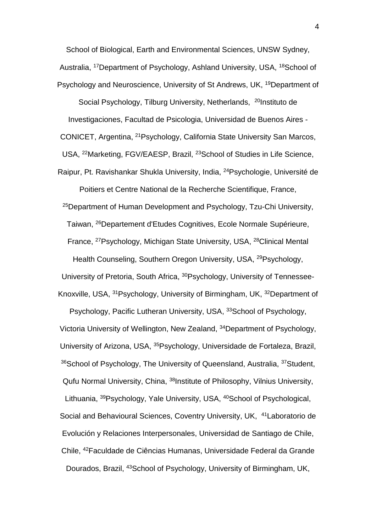School of Biological, Earth and Environmental Sciences, UNSW Sydney, Australia, <sup>17</sup>Department of Psychology, Ashland University, USA, <sup>18</sup>School of Psychology and Neuroscience, University of St Andrews, UK, <sup>19</sup>Department of

Social Psychology, Tilburg University, Netherlands, <sup>20</sup>Instituto de Investigaciones, Facultad de Psicologia, Universidad de Buenos Aires - CONICET, Argentina, <sup>21</sup>Psychology, California State University San Marcos, USA, <sup>22</sup>Marketing, FGV/EAESP, Brazil, <sup>23</sup>School of Studies in Life Science, Raipur, Pt. Ravishankar Shukla University, India, <sup>24</sup>Psychologie, Université de

Poitiers et Centre National de la Recherche Scientifique, France, <sup>25</sup>Department of Human Development and Psychology, Tzu-Chi University, Taiwan, <sup>26</sup>Departement d'Etudes Cognitives, Ecole Normale Supérieure, France, <sup>27</sup>Psychology, Michigan State University, USA, <sup>28</sup>Clinical Mental Health Counseling, Southern Oregon University, USA, <sup>29</sup>Psychology, University of Pretoria, South Africa, <sup>30</sup>Psychology, University of Tennessee-Knoxville, USA, <sup>31</sup>Psychology, University of Birmingham, UK, <sup>32</sup>Department of

Psychology, Pacific Lutheran University, USA, <sup>33</sup>School of Psychology, Victoria University of Wellington, New Zealand, <sup>34</sup>Department of Psychology, University of Arizona, USA, <sup>35</sup>Psychology, Universidade de Fortaleza, Brazil, <sup>36</sup>School of Psychology, The University of Queensland, Australia, <sup>37</sup>Student, Qufu Normal University, China, <sup>38</sup>Institute of Philosophy, Vilnius University, Lithuania, <sup>39</sup>Psychology, Yale University, USA, <sup>40</sup>School of Psychological, Social and Behavioural Sciences, Coventry University, UK, <sup>41</sup>Laboratorio de Evolución y Relaciones Interpersonales, Universidad de Santiago de Chile, Chile, <sup>42</sup>Faculdade de Ciências Humanas, Universidade Federal da Grande Dourados, Brazil, <sup>43</sup>School of Psychology, University of Birmingham, UK,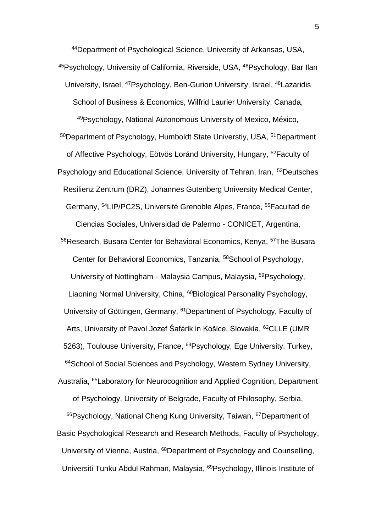<sup>44</sup>Department of Psychological Science, University of Arkansas, USA, 45Psychology, University of California, Riverside, USA, <sup>46</sup>Psychology, Bar Ilan University, Israel, <sup>47</sup>Psychology, Ben-Gurion University, Israel, <sup>48</sup>Lazaridis School of Business & Economics, Wilfrid Laurier University, Canada, <sup>49</sup>Psychology, National Autonomous University of Mexico, México, <sup>50</sup>Department of Psychology, Humboldt State Universtiy, USA, <sup>51</sup>Department of Affective Psychology, Eötvös Loránd University, Hungary, <sup>52</sup>Faculty of Psychology and Educational Science, University of Tehran, Iran, <sup>53</sup>Deutsches Resilienz Zentrum (DRZ), Johannes Gutenberg University Medical Center, Germany, <sup>54</sup>LIP/PC2S, Université Grenoble Alpes, France, <sup>55</sup>Facultad de Ciencias Sociales, Universidad de Palermo - CONICET, Argentina, <sup>56</sup>Research, Busara Center for Behavioral Economics, Kenya, <sup>57</sup>The Busara

Center for Behavioral Economics, Tanzania, <sup>58</sup>School of Psychology, University of Nottingham - Malaysia Campus, Malaysia, <sup>59</sup>Psychology, Liaoning Normal University, China, <sup>60</sup>Biological Personality Psychology, University of Göttingen, Germany, <sup>61</sup>Department of Psychology, Faculty of Arts, University of Pavol Jozef Šafárik in Košice, Slovakia, <sup>62</sup>CLLE (UMR 5263), Toulouse University, France, <sup>63</sup>Psychology, Ege University, Turkey, <sup>64</sup>School of Social Sciences and Psychology, Western Sydney University, Australia, <sup>65</sup>Laboratory for Neurocognition and Applied Cognition, Department of Psychology, University of Belgrade, Faculty of Philosophy, Serbia, <sup>66</sup>Psychology, National Cheng Kung University, Taiwan, <sup>67</sup>Department of Basic Psychological Research and Research Methods, Faculty of Psychology, University of Vienna, Austria, <sup>68</sup>Department of Psychology and Counselling, Universiti Tunku Abdul Rahman, Malaysia, <sup>69</sup>Psychology, Illinois Institute of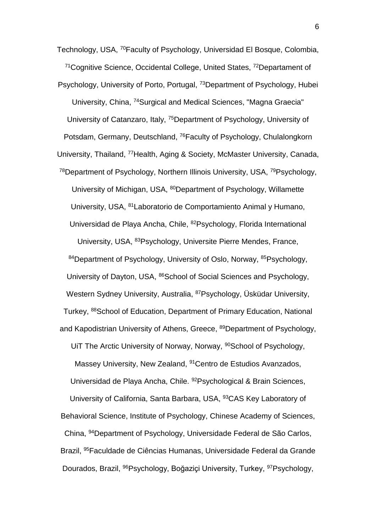Technology, USA, <sup>70</sup>Faculty of Psychology, Universidad El Bosque, Colombia, <sup>71</sup>Cognitive Science, Occidental College, United States, <sup>72</sup>Departament of Psychology, University of Porto, Portugal, <sup>73</sup>Department of Psychology, Hubei University, China, <sup>74</sup>Surgical and Medical Sciences, "Magna Graecia" University of Catanzaro, Italy, <sup>75</sup>Department of Psychology, University of Potsdam, Germany, Deutschland, <sup>76</sup>Faculty of Psychology, Chulalongkorn University, Thailand, <sup>77</sup>Health, Aging & Society, McMaster University, Canada, <sup>78</sup>Department of Psychology, Northern Illinois University, USA, <sup>79</sup>Psychology, University of Michigan, USA, <sup>80</sup>Department of Psychology, Willamette University, USA, <sup>81</sup>Laboratorio de Comportamiento Animal y Humano, Universidad de Playa Ancha, Chile, <sup>82</sup>Psychology, Florida International University, USA, <sup>83</sup>Psychology, Universite Pierre Mendes, France, 84Department of Psychology, University of Oslo, Norway, 85Psychology, University of Dayton, USA, <sup>86</sup>School of Social Sciences and Psychology, Western Sydney University, Australia, <sup>87</sup>Psychology, Üsküdar University, Turkey, <sup>88</sup>School of Education, Department of Primary Education, National and Kapodistrian University of Athens, Greece, <sup>89</sup>Department of Psychology, UIT The Arctic University of Norway, Norway, <sup>90</sup>School of Psychology, Massey University, New Zealand, <sup>91</sup> Centro de Estudios Avanzados, Universidad de Playa Ancha, Chile. <sup>92</sup>Psychological & Brain Sciences, University of California, Santa Barbara, USA, <sup>93</sup>CAS Key Laboratory of Behavioral Science, Institute of Psychology, Chinese Academy of Sciences, China, <sup>94</sup>Department of Psychology, Universidade Federal de São Carlos, Brazil, <sup>95</sup>Faculdade de Ciências Humanas, Universidade Federal da Grande Dourados, Brazil, <sup>96</sup>Psychology, Boğaziçi University, Turkey, <sup>97</sup>Psychology,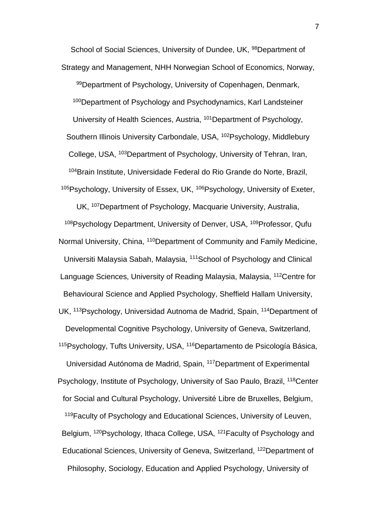School of Social Sciences, University of Dundee, UK, <sup>98</sup>Department of Strategy and Management, NHH Norwegian School of Economics, Norway, 99Department of Psychology, University of Copenhagen, Denmark, <sup>100</sup>Department of Psychology and Psychodynamics, Karl Landsteiner University of Health Sciences, Austria, <sup>101</sup>Department of Psychology, Southern Illinois University Carbondale, USA, <sup>102</sup>Psychology, Middlebury College, USA, <sup>103</sup>Department of Psychology, University of Tehran, Iran, <sup>104</sup>Brain Institute, Universidade Federal do Rio Grande do Norte, Brazil, <sup>105</sup>Psychology, University of Essex, UK, <sup>106</sup>Psychology, University of Exeter,

UK, <sup>107</sup>Department of Psychology, Macquarie University, Australia, <sup>108</sup>Psychology Department, University of Denver, USA, <sup>109</sup>Professor, Qufu Normal University, China, <sup>110</sup>Department of Community and Family Medicine, Universiti Malaysia Sabah, Malaysia, <sup>111</sup>School of Psychology and Clinical Language Sciences, University of Reading Malaysia, Malaysia, <sup>112</sup>Centre for Behavioural Science and Applied Psychology, Sheffield Hallam University, UK, <sup>113</sup>Psychology, Universidad Autnoma de Madrid, Spain, <sup>114</sup>Department of Developmental Cognitive Psychology, University of Geneva, Switzerland, <sup>115</sup>Psychology, Tufts University, USA, <sup>116</sup>Departamento de Psicología Básica, Universidad Autónoma de Madrid, Spain, <sup>117</sup>Department of Experimental Psychology, Institute of Psychology, University of Sao Paulo, Brazil, <sup>118</sup>Center for Social and Cultural Psychology, Université Libre de Bruxelles, Belgium, <sup>119</sup>Faculty of Psychology and Educational Sciences, University of Leuven, Belgium, <sup>120</sup>Psychology, Ithaca College, USA, <sup>121</sup>Faculty of Psychology and Educational Sciences, University of Geneva, Switzerland, <sup>122</sup>Department of Philosophy, Sociology, Education and Applied Psychology, University of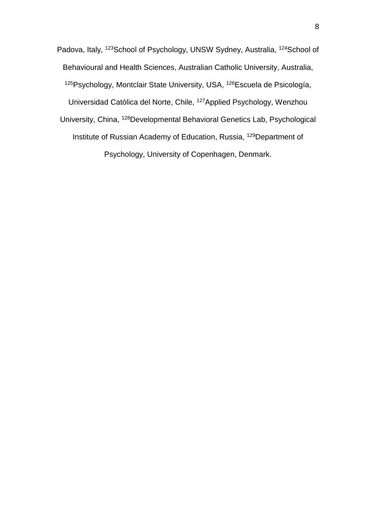Padova, Italy, <sup>123</sup>School of Psychology, UNSW Sydney, Australia, <sup>124</sup>School of Behavioural and Health Sciences, Australian Catholic University, Australia, <sup>125</sup>Psychology, Montclair State University, USA, <sup>126</sup>Escuela de Psicología, Universidad Católica del Norte, Chile, <sup>127</sup>Applied Psychology, Wenzhou University, China, <sup>128</sup>Developmental Behavioral Genetics Lab, Psychological Institute of Russian Academy of Education, Russia, <sup>129</sup>Department of Psychology, University of Copenhagen, Denmark.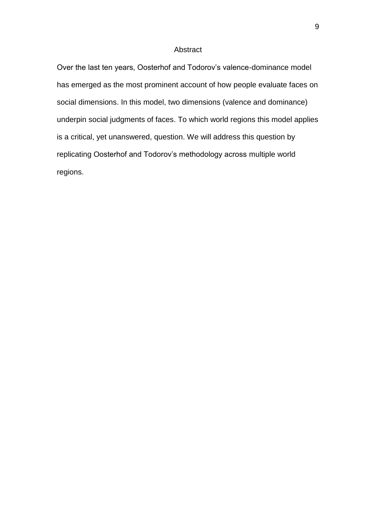### Abstract

Over the last ten years, Oosterhof and Todorov's valence-dominance model has emerged as the most prominent account of how people evaluate faces on social dimensions. In this model, two dimensions (valence and dominance) underpin social judgments of faces. To which world regions this model applies is a critical, yet unanswered, question. We will address this question by replicating Oosterhof and Todorov's methodology across multiple world regions.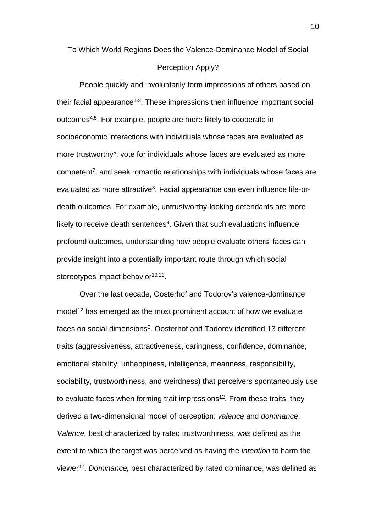# To Which World Regions Does the Valence-Dominance Model of Social

## Perception Apply?

People quickly and involuntarily form impressions of others based on their facial appearance<sup>1-3</sup>. These impressions then influence important social outcomes<sup>4,5</sup>. For example, people are more likely to cooperate in socioeconomic interactions with individuals whose faces are evaluated as more trustworthy<sup>6</sup>, vote for individuals whose faces are evaluated as more competent<sup>7</sup>, and seek romantic relationships with individuals whose faces are evaluated as more attractive<sup>8</sup>. Facial appearance can even influence life-ordeath outcomes. For example, untrustworthy-looking defendants are more likely to receive death sentences<sup>9</sup>. Given that such evaluations influence profound outcomes, understanding how people evaluate others' faces can provide insight into a potentially important route through which social stereotypes impact behavior<sup>10,11</sup>.

Over the last decade, Oosterhof and Todorov's valence-dominance model<sup>12</sup> has emerged as the most prominent account of how we evaluate faces on social dimensions<sup>5</sup>. Oosterhof and Todorov identified 13 different traits (aggressiveness, attractiveness, caringness, confidence, dominance, emotional stability, unhappiness, intelligence, meanness, responsibility, sociability, trustworthiness, and weirdness) that perceivers spontaneously use to evaluate faces when forming trait impressions<sup>12</sup>. From these traits, they derived a two-dimensional model of perception: *valence* and *dominance*. *Valence,* best characterized by rated trustworthiness, was defined as the extent to which the target was perceived as having the *intention* to harm the viewer<sup>12</sup> . *Dominance,* best characterized by rated dominance, was defined as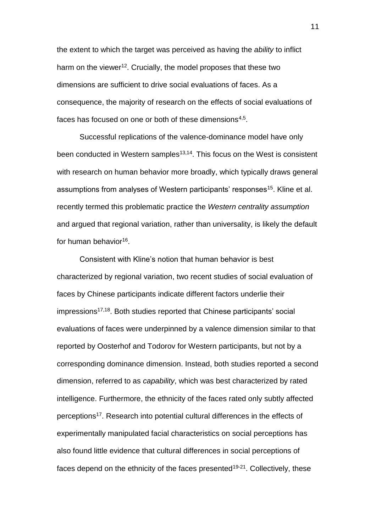the extent to which the target was perceived as having the *ability* to inflict harm on the viewer<sup>12</sup>. Crucially, the model proposes that these two dimensions are sufficient to drive social evaluations of faces. As a consequence, the majority of research on the effects of social evaluations of faces has focused on one or both of these dimensions $^{\mathrm{4,5}}$ .

Successful replications of the valence-dominance model have only been conducted in Western samples<sup>13,14</sup>. This focus on the West is consistent with research on human behavior more broadly, which typically draws general assumptions from analyses of Western participants' responses<sup>15</sup>. Kline et al. recently termed this problematic practice the *Western centrality assumption* and argued that regional variation, rather than universality, is likely the default for human behavior<sup>16</sup>.

Consistent with Kline's notion that human behavior is best characterized by regional variation, two recent studies of social evaluation of faces by Chinese participants indicate different factors underlie their  $impressions<sup>17,18</sup>$ . Both studies reported that Chinese participants' social evaluations of faces were underpinned by a valence dimension similar to that reported by Oosterhof and Todorov for Western participants, but not by a corresponding dominance dimension. Instead, both studies reported a second dimension, referred to as *capability*, which was best characterized by rated intelligence. Furthermore, the ethnicity of the faces rated only subtly affected perceptions<sup>17</sup>. Research into potential cultural differences in the effects of experimentally manipulated facial characteristics on social perceptions has also found little evidence that cultural differences in social perceptions of faces depend on the ethnicity of the faces presented<sup>19-21</sup>. Collectively, these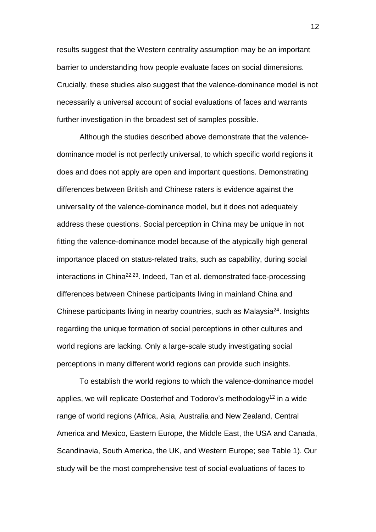results suggest that the Western centrality assumption may be an important barrier to understanding how people evaluate faces on social dimensions. Crucially, these studies also suggest that the valence-dominance model is not necessarily a universal account of social evaluations of faces and warrants further investigation in the broadest set of samples possible.

Although the studies described above demonstrate that the valencedominance model is not perfectly universal, to which specific world regions it does and does not apply are open and important questions. Demonstrating differences between British and Chinese raters is evidence against the universality of the valence-dominance model, but it does not adequately address these questions. Social perception in China may be unique in not fitting the valence-dominance model because of the atypically high general importance placed on status-related traits, such as capability, during social interactions in China<sup>22,23</sup>. Indeed, Tan et al. demonstrated face-processing differences between Chinese participants living in mainland China and Chinese participants living in nearby countries, such as Malaysia<sup>24</sup>. Insights regarding the unique formation of social perceptions in other cultures and world regions are lacking. Only a large-scale study investigating social perceptions in many different world regions can provide such insights.

To establish the world regions to which the valence-dominance model applies, we will replicate Oosterhof and Todorov's methodology<sup>12</sup> in a wide range of world regions (Africa, Asia, Australia and New Zealand, Central America and Mexico, Eastern Europe, the Middle East, the USA and Canada, Scandinavia, South America, the UK, and Western Europe; see Table 1). Our study will be the most comprehensive test of social evaluations of faces to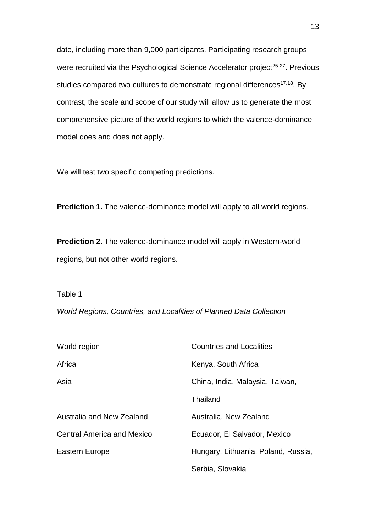date, including more than 9,000 participants. Participating research groups were recruited via the Psychological Science Accelerator project<sup>25-27</sup>. Previous studies compared two cultures to demonstrate regional differences<sup>17,18</sup>. By contrast, the scale and scope of our study will allow us to generate the most comprehensive picture of the world regions to which the valence-dominance model does and does not apply.

We will test two specific competing predictions.

**Prediction 1.** The valence-dominance model will apply to all world regions.

**Prediction 2.** The valence-dominance model will apply in Western-world regions, but not other world regions.

Table 1

*World Regions, Countries, and Localities of Planned Data Collection* 

| World region                      | <b>Countries and Localities</b>     |
|-----------------------------------|-------------------------------------|
| Africa                            | Kenya, South Africa                 |
| Asia                              | China, India, Malaysia, Taiwan,     |
|                                   | Thailand                            |
| Australia and New Zealand         | Australia, New Zealand              |
| <b>Central America and Mexico</b> | Ecuador, El Salvador, Mexico        |
| Eastern Europe                    | Hungary, Lithuania, Poland, Russia, |
|                                   | Serbia, Slovakia                    |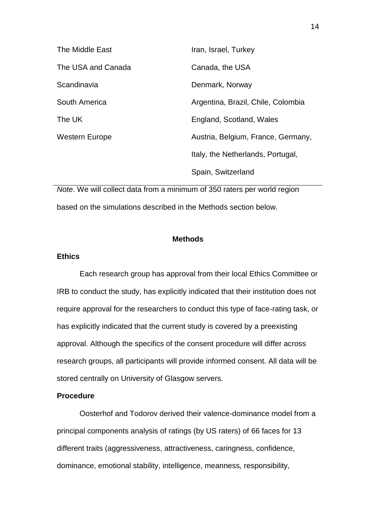| The Middle East    | Iran, Israel, Turkey               |
|--------------------|------------------------------------|
| The USA and Canada | Canada, the USA                    |
| Scandinavia        | Denmark, Norway                    |
| South America      | Argentina, Brazil, Chile, Colombia |
| The UK             | England, Scotland, Wales           |
| Western Europe     | Austria, Belgium, France, Germany, |
|                    | Italy, the Netherlands, Portugal,  |
|                    | Spain, Switzerland                 |

*Note*. We will collect data from a minimum of 350 raters per world region based on the simulations described in the Methods section below.

## **Methods**

# **Ethics**

Each research group has approval from their local Ethics Committee or IRB to conduct the study, has explicitly indicated that their institution does not require approval for the researchers to conduct this type of face-rating task, or has explicitly indicated that the current study is covered by a preexisting approval. Although the specifics of the consent procedure will differ across research groups, all participants will provide informed consent. All data will be stored centrally on University of Glasgow servers.

### **Procedure**

Oosterhof and Todorov derived their valence-dominance model from a principal components analysis of ratings (by US raters) of 66 faces for 13 different traits (aggressiveness, attractiveness, caringness, confidence, dominance, emotional stability, intelligence, meanness, responsibility,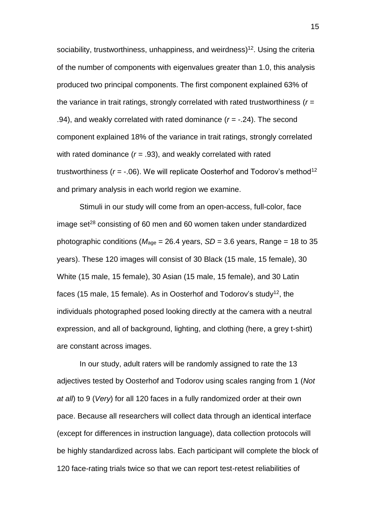sociability, trustworthiness, unhappiness, and weirdness)<sup>12</sup>. Using the criteria of the number of components with eigenvalues greater than 1.0, this analysis produced two principal components. The first component explained 63% of the variance in trait ratings, strongly correlated with rated trustworthiness (*r* = .94), and weakly correlated with rated dominance (*r* = -.24). The second component explained 18% of the variance in trait ratings, strongly correlated with rated dominance ( $r = .93$ ), and weakly correlated with rated trustworthiness  $(r = -.06)$ . We will replicate Oosterhof and Todorov's method<sup>12</sup> and primary analysis in each world region we examine.

Stimuli in our study will come from an open-access, full-color, face image set $^{28}$  consisting of 60 men and 60 women taken under standardized photographic conditions ( $M_{\text{age}} = 26.4$  years,  $SD = 3.6$  years, Range = 18 to 35 years). These 120 images will consist of 30 Black (15 male, 15 female), 30 White (15 male, 15 female), 30 Asian (15 male, 15 female), and 30 Latin faces (15 male, 15 female). As in Oosterhof and Todorov's study<sup>12</sup>, the individuals photographed posed looking directly at the camera with a neutral expression, and all of background, lighting, and clothing (here, a grey t-shirt) are constant across images.

In our study, adult raters will be randomly assigned to rate the 13 adjectives tested by Oosterhof and Todorov using scales ranging from 1 (*Not at all*) to 9 (*Very*) for all 120 faces in a fully randomized order at their own pace. Because all researchers will collect data through an identical interface (except for differences in instruction language), data collection protocols will be highly standardized across labs. Each participant will complete the block of 120 face-rating trials twice so that we can report test-retest reliabilities of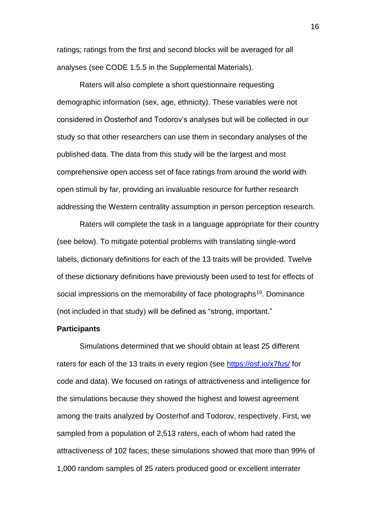ratings; ratings from the first and second blocks will be averaged for all analyses (see CODE 1.5.5 in the Supplemental Materials).

Raters will also complete a short questionnaire requesting demographic information (sex, age, ethnicity). These variables were not considered in Oosterhof and Todorov's analyses but will be collected in our study so that other researchers can use them in secondary analyses of the published data. The data from this study will be the largest and most comprehensive open access set of face ratings from around the world with open stimuli by far, providing an invaluable resource for further research addressing the Western centrality assumption in person perception research.

Raters will complete the task in a language appropriate for their country (see below). To mitigate potential problems with translating single-word labels, dictionary definitions for each of the 13 traits will be provided. Twelve of these dictionary definitions have previously been used to test for effects of social impressions on the memorability of face photographs<sup>19</sup>. Dominance (not included in that study) will be defined as "strong, important."

### **Participants**

Simulations determined that we should obtain at least 25 different raters for each of the 13 traits in every region (see<https://osf.io/x7fus/> for code and data). We focused on ratings of attractiveness and intelligence for the simulations because they showed the highest and lowest agreement among the traits analyzed by Oosterhof and Todorov, respectively. First, we sampled from a population of 2,513 raters, each of whom had rated the attractiveness of 102 faces; these simulations showed that more than 99% of 1,000 random samples of 25 raters produced good or excellent interrater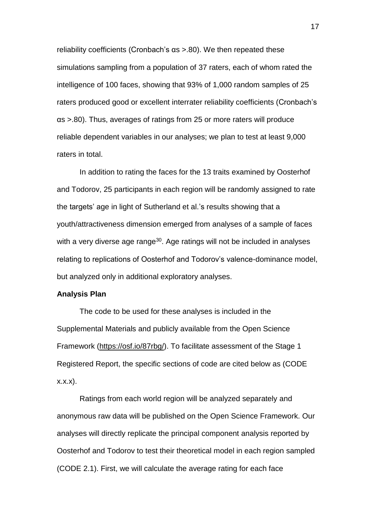reliability coefficients (Cronbach's αs >.80). We then repeated these simulations sampling from a population of 37 raters, each of whom rated the intelligence of 100 faces, showing that 93% of 1,000 random samples of 25 raters produced good or excellent interrater reliability coefficients (Cronbach's αs >.80). Thus, averages of ratings from 25 or more raters will produce reliable dependent variables in our analyses; we plan to test at least 9,000 raters in total.

In addition to rating the faces for the 13 traits examined by Oosterhof and Todorov, 25 participants in each region will be randomly assigned to rate the targets' age in light of Sutherland et al.'s results showing that a youth/attractiveness dimension emerged from analyses of a sample of faces with a very diverse age range<sup>30</sup>. Age ratings will not be included in analyses relating to replications of Oosterhof and Todorov's valence-dominance model, but analyzed only in additional exploratory analyses.

### **Analysis Plan**

The code to be used for these analyses is included in the Supplemental Materials and publicly available from the Open Science Framework [\(https://osf.io/87rbg/\)](https://osf.io/87rbg/). To facilitate assessment of the Stage 1 Registered Report, the specific sections of code are cited below as (CODE x.x.x).

Ratings from each world region will be analyzed separately and anonymous raw data will be published on the Open Science Framework. Our analyses will directly replicate the principal component analysis reported by Oosterhof and Todorov to test their theoretical model in each region sampled (CODE 2.1). First, we will calculate the average rating for each face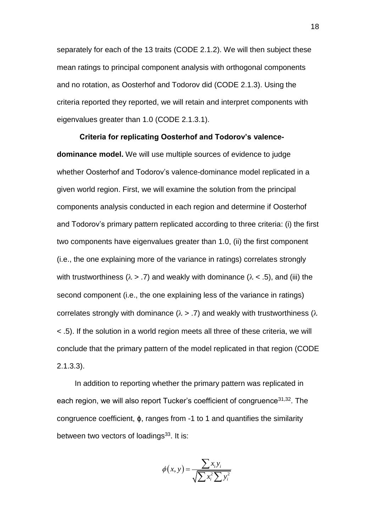separately for each of the 13 traits (CODE 2.1.2). We will then subject these mean ratings to principal component analysis with orthogonal components and no rotation, as Oosterhof and Todorov did (CODE 2.1.3). Using the criteria reported they reported, we will retain and interpret components with eigenvalues greater than 1.0 (CODE 2.1.3.1).

**Criteria for replicating Oosterhof and Todorov's valencedominance model.** We will use multiple sources of evidence to judge whether Oosterhof and Todorov's valence-dominance model replicated in a given world region. First, we will examine the solution from the principal components analysis conducted in each region and determine if Oosterhof and Todorov's primary pattern replicated according to three criteria: (i) the first two components have eigenvalues greater than 1.0, (ii) the first component (i.e., the one explaining more of the variance in ratings) correlates strongly with trustworthiness ( $\lambda$  > .7) and weakly with dominance ( $\lambda$  < .5), and (iii) the second component (i.e., the one explaining less of the variance in ratings) correlates strongly with dominance ( $\lambda$  > .7) and weakly with trustworthiness ( $\lambda$ < .5). If the solution in a world region meets all three of these criteria, we will conclude that the primary pattern of the model replicated in that region (CODE 2.1.3.3).

In addition to reporting whether the primary pattern was replicated in each region, we will also report Tucker's coefficient of congruence<sup>31,32</sup>. The congruence coefficient, ϕ, ranges from -1 to 1 and quantifies the similarity between two vectors of loadings $33$ . It is:

$$
\phi(x, y) = \frac{\sum x_i y_i}{\sqrt{\sum x_i^2 \sum y_i^2}}
$$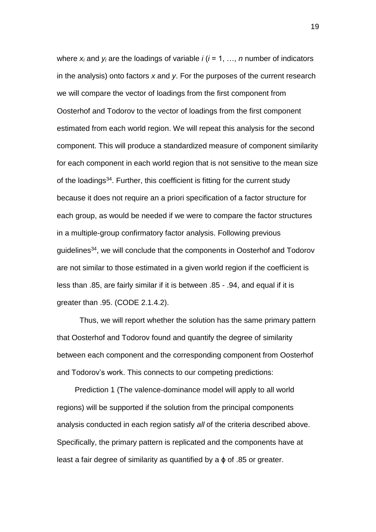where  $x_i$  and  $y_i$  are the loadings of variable  $i$  ( $i = 1, ..., n$  number of indicators in the analysis) onto factors *x* and *y*. For the purposes of the current research we will compare the vector of loadings from the first component from Oosterhof and Todorov to the vector of loadings from the first component estimated from each world region. We will repeat this analysis for the second component. This will produce a standardized measure of component similarity for each component in each world region that is not sensitive to the mean size of the loadings<sup>34</sup>. Further, this coefficient is fitting for the current study because it does not require an a priori specification of a factor structure for each group, as would be needed if we were to compare the factor structures in a multiple-group confirmatory factor analysis. Following previous guidelines<sup>34</sup>, we will conclude that the components in Oosterhof and Todorov are not similar to those estimated in a given world region if the coefficient is less than .85, are fairly similar if it is between .85 - .94, and equal if it is greater than .95. (CODE 2.1.4.2).

Thus, we will report whether the solution has the same primary pattern that Oosterhof and Todorov found and quantify the degree of similarity between each component and the corresponding component from Oosterhof and Todorov's work. This connects to our competing predictions:

Prediction 1 (The valence-dominance model will apply to all world regions) will be supported if the solution from the principal components analysis conducted in each region satisfy *all* of the criteria described above. Specifically, the primary pattern is replicated and the components have at least a fair degree of similarity as quantified by a ϕ of .85 or greater.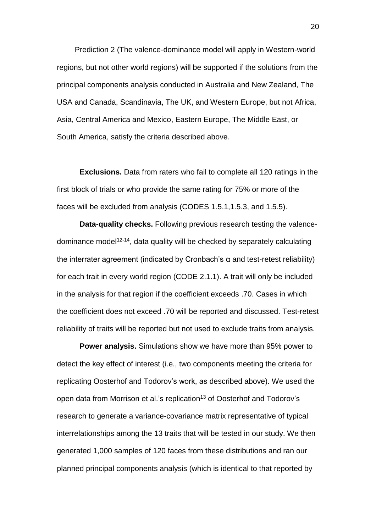Prediction 2 (The valence-dominance model will apply in Western-world regions, but not other world regions) will be supported if the solutions from the principal components analysis conducted in Australia and New Zealand, The USA and Canada, Scandinavia, The UK, and Western Europe, but not Africa, Asia, Central America and Mexico, Eastern Europe, The Middle East, or South America, satisfy the criteria described above.

**Exclusions.** Data from raters who fail to complete all 120 ratings in the first block of trials or who provide the same rating for 75% or more of the faces will be excluded from analysis (CODES 1.5.1,1.5.3, and 1.5.5).

**Data-quality checks.** Following previous research testing the valencedominance model<sup>12-14</sup>, data quality will be checked by separately calculating the interrater agreement (indicated by Cronbach's α and test-retest reliability) for each trait in every world region (CODE 2.1.1). A trait will only be included in the analysis for that region if the coefficient exceeds .70. Cases in which the coefficient does not exceed .70 will be reported and discussed. Test-retest reliability of traits will be reported but not used to exclude traits from analysis.

**Power analysis.** Simulations show we have more than 95% power to detect the key effect of interest (i.e., two components meeting the criteria for replicating Oosterhof and Todorov's work, as described above). We used the open data from Morrison et al.'s replication<sup>13</sup> of Oosterhof and Todorov's research to generate a variance-covariance matrix representative of typical interrelationships among the 13 traits that will be tested in our study. We then generated 1,000 samples of 120 faces from these distributions and ran our planned principal components analysis (which is identical to that reported by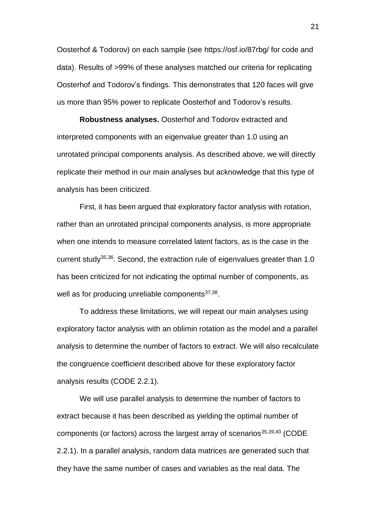Oosterhof & Todorov) on each sample (see https://osf.io/87rbg/ for code and data). Results of >99% of these analyses matched our criteria for replicating Oosterhof and Todorov's findings. This demonstrates that 120 faces will give us more than 95% power to replicate Oosterhof and Todorov's results.

**Robustness analyses.** Oosterhof and Todorov extracted and interpreted components with an eigenvalue greater than 1.0 using an unrotated principal components analysis. As described above, we will directly replicate their method in our main analyses but acknowledge that this type of analysis has been criticized.

First, it has been argued that exploratory factor analysis with rotation, rather than an unrotated principal components analysis, is more appropriate when one intends to measure correlated latent factors, as is the case in the current study<sup>35,36</sup>. Second, the extraction rule of eigenvalues greater than 1.0 has been criticized for not indicating the optimal number of components, as well as for producing unreliable components<sup>37,38</sup>.

To address these limitations, we will repeat our main analyses using exploratory factor analysis with an oblimin rotation as the model and a parallel analysis to determine the number of factors to extract. We will also recalculate the congruence coefficient described above for these exploratory factor analysis results (CODE 2.2.1).

We will use parallel analysis to determine the number of factors to extract because it has been described as yielding the optimal number of components (or factors) across the largest array of scenarios<sup>35,39,40</sup> (CODE 2.2.1). In a parallel analysis, random data matrices are generated such that they have the same number of cases and variables as the real data. The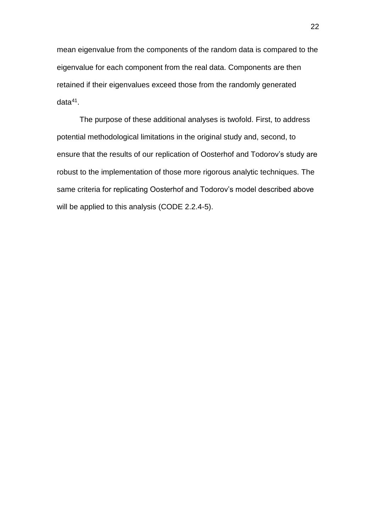mean eigenvalue from the components of the random data is compared to the eigenvalue for each component from the real data. Components are then retained if their eigenvalues exceed those from the randomly generated data<sup>41</sup>.

The purpose of these additional analyses is twofold. First, to address potential methodological limitations in the original study and, second, to ensure that the results of our replication of Oosterhof and Todorov's study are robust to the implementation of those more rigorous analytic techniques. The same criteria for replicating Oosterhof and Todorov's model described above will be applied to this analysis (CODE 2.2.4-5).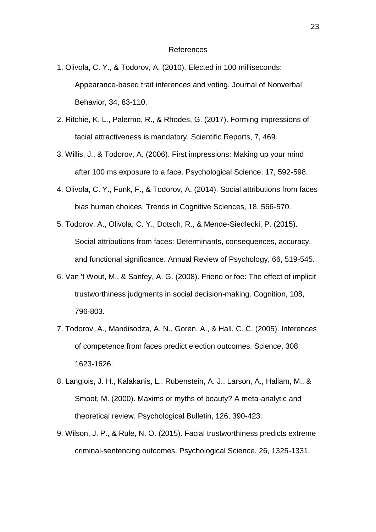### References

- 1. Olivola, C. Y., & Todorov, A. (2010). Elected in 100 milliseconds: Appearance-based trait inferences and voting. Journal of Nonverbal Behavior, 34, 83-110.
- 2. Ritchie, K. L., Palermo, R., & Rhodes, G. (2017). Forming impressions of facial attractiveness is mandatory. Scientific Reports, 7, 469.
- 3. Willis, J., & Todorov, A. (2006). First impressions: Making up your mind after 100 ms exposure to a face. Psychological Science, 17, 592-598.
- 4. Olivola, C. Y., Funk, F., & Todorov, A. (2014). Social attributions from faces bias human choices. Trends in Cognitive Sciences, 18, 566-570.
- 5. Todorov, A., Olivola, C. Y., Dotsch, R., & Mende-Siedlecki, P. (2015). Social attributions from faces: Determinants, consequences, accuracy, and functional significance. Annual Review of Psychology, 66, 519-545.
- 6. Van 't Wout, M., & Sanfey, A. G. (2008). Friend or foe: The effect of implicit trustworthiness judgments in social decision-making. Cognition, 108, 796-803.
- 7. Todorov, A., Mandisodza, A. N., Goren, A., & Hall, C. C. (2005). Inferences of competence from faces predict election outcomes. Science, 308, 1623-1626.
- 8. Langlois, J. H., Kalakanis, L., Rubenstein, A. J., Larson, A., Hallam, M., & Smoot, M. (2000). Maxims or myths of beauty? A meta-analytic and theoretical review. Psychological Bulletin, 126, 390-423.
- 9. Wilson, J. P., & Rule, N. O. (2015). Facial trustworthiness predicts extreme criminal-sentencing outcomes. Psychological Science, 26, 1325-1331.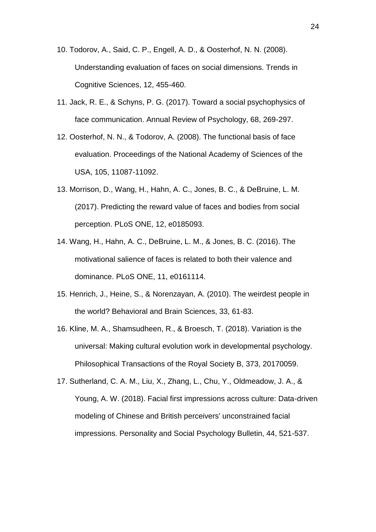- 10. Todorov, A., Said, C. P., Engell, A. D., & Oosterhof, N. N. (2008). Understanding evaluation of faces on social dimensions. Trends in Cognitive Sciences, 12, 455-460.
- 11. Jack, R. E., & Schyns, P. G. (2017). Toward a social psychophysics of face communication. Annual Review of Psychology, 68, 269-297.
- 12. Oosterhof, N. N., & Todorov, A. (2008). The functional basis of face evaluation. Proceedings of the National Academy of Sciences of the USA, 105, 11087-11092.
- 13. Morrison, D., Wang, H., Hahn, A. C., Jones, B. C., & DeBruine, L. M. (2017). Predicting the reward value of faces and bodies from social perception. PLoS ONE, 12, e0185093.
- 14. Wang, H., Hahn, A. C., DeBruine, L. M., & Jones, B. C. (2016). The motivational salience of faces is related to both their valence and dominance. PLoS ONE, 11, e0161114.
- 15. Henrich, J., Heine, S., & Norenzayan, A. (2010). The weirdest people in the world? Behavioral and Brain Sciences, 33, 61-83.
- 16. Kline, M. A., Shamsudheen, R., & Broesch, T. (2018). Variation is the universal: Making cultural evolution work in developmental psychology. Philosophical Transactions of the Royal Society B, 373, 20170059.
- 17. Sutherland, C. A. M., Liu, X., Zhang, L., Chu, Y., Oldmeadow, J. A., & Young, A. W. (2018). Facial first impressions across culture: Data-driven modeling of Chinese and British perceivers' unconstrained facial impressions. Personality and Social Psychology Bulletin, 44, 521-537.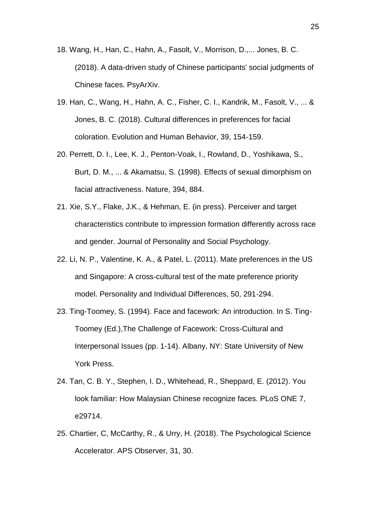- 18. Wang, H., Han, C., Hahn, A., Fasolt, V., Morrison, D.,... Jones, B. C. (2018). A data-driven study of Chinese participants' social judgments of Chinese faces. PsyArXiv.
- 19. Han, C., Wang, H., Hahn, A. C., Fisher, C. I., Kandrik, M., Fasolt, V., ... & Jones, B. C. (2018). Cultural differences in preferences for facial coloration. Evolution and Human Behavior, 39, 154-159.
- 20. Perrett, D. I., Lee, K. J., Penton-Voak, I., Rowland, D., Yoshikawa, S., Burt, D. M., ... & Akamatsu, S. (1998). Effects of sexual dimorphism on facial attractiveness. Nature, 394, 884.
- 21. Xie, S.Y., Flake, J.K., & Hehman, E. (in press). Perceiver and target characteristics contribute to impression formation differently across race and gender. Journal of Personality and Social Psychology.
- 22. Li, N. P., Valentine, K. A., & Patel, L. (2011). Mate preferences in the US and Singapore: A cross-cultural test of the mate preference priority model. Personality and Individual Differences, 50, 291-294.
- 23. Ting-Toomey, S. (1994). Face and facework: An introduction. In S. Ting-Toomey (Ed.),The Challenge of Facework: Cross-Cultural and Interpersonal Issues (pp. 1-14). Albany, NY: State University of New York Press.
- 24. Tan, C. B. Y., Stephen, I. D., Whitehead, R., Sheppard, E. (2012). You look familiar: How Malaysian Chinese recognize faces. PLoS ONE 7, e29714.
- 25. Chartier, C, McCarthy, R., & Urry, H. (2018). The Psychological Science Accelerator. APS Observer, 31, 30.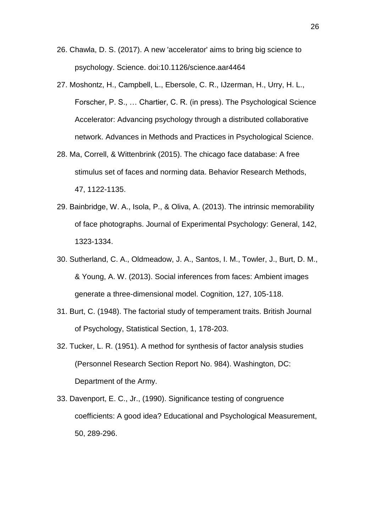- 26. Chawla, D. S. (2017). A new 'accelerator' aims to bring big science to psychology. Science. doi:10.1126/science.aar4464
- 27. Moshontz, H., Campbell, L., Ebersole, C. R., IJzerman, H., Urry, H. L., Forscher, P. S., … Chartier, C. R. (in press). The Psychological Science Accelerator: Advancing psychology through a distributed collaborative network. Advances in Methods and Practices in Psychological Science.
- 28. Ma, Correll, & Wittenbrink (2015). The chicago face database: A free stimulus set of faces and norming data. Behavior Research Methods, 47, 1122-1135.
- 29. Bainbridge, W. A., Isola, P., & Oliva, A. (2013). The intrinsic memorability of face photographs. Journal of Experimental Psychology: General, 142, 1323-1334.
- 30. Sutherland, C. A., Oldmeadow, J. A., Santos, I. M., Towler, J., Burt, D. M., & Young, A. W. (2013). Social inferences from faces: Ambient images generate a three-dimensional model. Cognition, 127, 105-118.
- 31. Burt, C. (1948). The factorial study of temperament traits. British Journal of Psychology, Statistical Section, 1, 178-203.
- 32. Tucker, L. R. (1951). A method for synthesis of factor analysis studies (Personnel Research Section Report No. 984). Washington, DC: Department of the Army.
- 33. Davenport, E. C., Jr., (1990). Significance testing of congruence coefficients: A good idea? Educational and Psychological Measurement, 50, 289-296.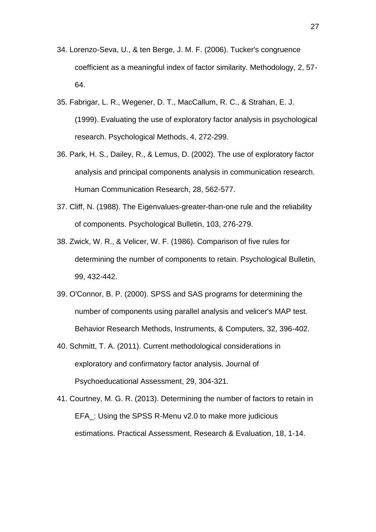- 34. Lorenzo-Seva, U., & ten Berge, J. M. F. (2006). Tucker's congruence coefficient as a meaningful index of factor similarity. Methodology, 2, 57- 64.
- 35. Fabrigar, L. R., Wegener, D. T., MacCallum, R. C., & Strahan, E. J. (1999). Evaluating the use of exploratory factor analysis in psychological research. Psychological Methods, 4, 272-299.
- 36. Park, H. S., Dailey, R., & Lemus, D. (2002). The use of exploratory factor analysis and principal components analysis in communication research. Human Communication Research, 28, 562-577.
- 37. Cliff, N. (1988). The Eigenvalues-greater-than-one rule and the reliability of components. Psychological Bulletin, 103, 276-279.
- 38. Zwick, W. R., & Velicer, W. F. (1986). Comparison of five rules for determining the number of components to retain. Psychological Bulletin, 99, 432-442.
- 39. O'Connor, B. P. (2000). SPSS and SAS programs for determining the number of components using parallel analysis and velicer's MAP test. Behavior Research Methods, Instruments, & Computers, 32, 396-402.
- 40. Schmitt, T. A. (2011). Current methodological considerations in exploratory and confirmatory factor analysis. Journal of Psychoeducational Assessment, 29, 304-321.
- 41. Courtney, M. G. R. (2013). Determining the number of factors to retain in EFA\_: Using the SPSS R-Menu v2.0 to make more judicious estimations. Practical Assessment, Research & Evaluation, 18, 1-14.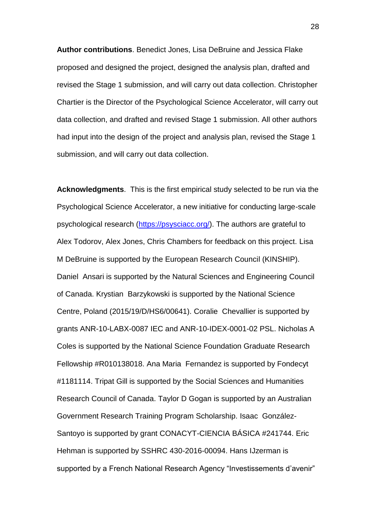**Author contributions**. Benedict Jones, Lisa DeBruine and Jessica Flake proposed and designed the project, designed the analysis plan, drafted and revised the Stage 1 submission, and will carry out data collection. Christopher Chartier is the Director of the Psychological Science Accelerator, will carry out data collection, and drafted and revised Stage 1 submission. All other authors had input into the design of the project and analysis plan, revised the Stage 1 submission, and will carry out data collection.

**Acknowledgments**. This is the first empirical study selected to be run via the Psychological Science Accelerator, a new initiative for conducting large-scale psychological research [\(https://psysciacc.org/\)](https://psysciacc.org/). The authors are grateful to Alex Todorov, Alex Jones, Chris Chambers for feedback on this project. Lisa M DeBruine is supported by the European Research Council (KINSHIP). Daniel Ansari is supported by the Natural Sciences and Engineering Council of Canada. Krystian Barzykowski is supported by the National Science Centre, Poland (2015/19/D/HS6/00641). Coralie Chevallier is supported by grants ANR-10-LABX-0087 IEC and ANR-10-IDEX-0001-02 PSL. Nicholas A Coles is supported by the National Science Foundation Graduate Research Fellowship #R010138018. Ana Maria Fernandez is supported by Fondecyt #1181114. Tripat Gill is supported by the Social Sciences and Humanities Research Council of Canada. Taylor D Gogan is supported by an Australian Government Research Training Program Scholarship. Isaac González-Santoyo is supported by grant CONACYT-CIENCIA BÁSICA #241744. Eric Hehman is supported by SSHRC 430-2016-00094. Hans IJzerman is supported by a French National Research Agency "Investissements d'avenir"